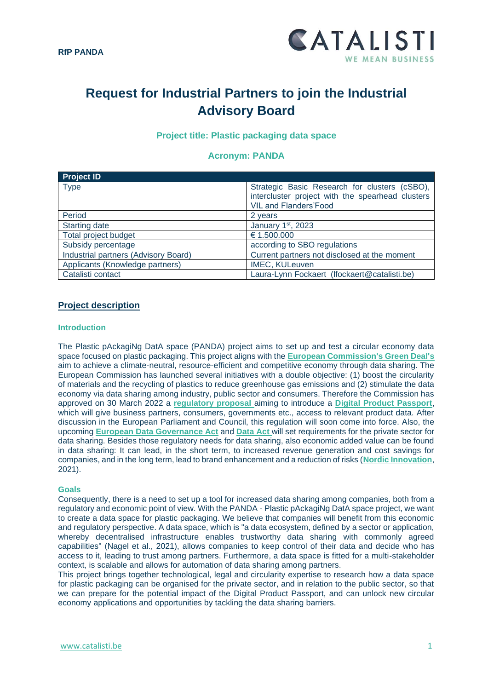

# **Request for Industrial Partners to join the Industrial Advisory Board**

# **Project title: Plastic packaging data space**

## **Acronym: PANDA**

| <b>Project ID</b>                    |                                                  |
|--------------------------------------|--------------------------------------------------|
| <b>Type</b>                          | Strategic Basic Research for clusters (cSBO),    |
|                                      | intercluster project with the spearhead clusters |
|                                      | <b>VIL and Flanders'Food</b>                     |
| Period                               | 2 years                                          |
| <b>Starting date</b>                 | January 1st, 2023                                |
| Total project budget                 | € 1.500.000                                      |
| Subsidy percentage                   | according to SBO regulations                     |
| Industrial partners (Advisory Board) | Current partners not disclosed at the moment     |
| Applicants (Knowledge partners)      | IMEC, KULeuven                                   |
| Catalisti contact                    | Laura-Lynn Fockaert (Ifockaert@catalisti.be)     |

## **Project description**

#### **Introduction**

The Plastic pAckagiNg DatA space (PANDA) project aims to set up and test a circular economy data space focused on plastic packaging. This project aligns with the **[European Commission's Green Deal's](https://ec.europa.eu/info/strategy/priorities-2019-2024/european-green-deal_en)** aim to achieve a climate-neutral, resource-efficient and competitive economy through data sharing. The European Commission has launched several initiatives with a double objective: (1) boost the circularity of materials and the recycling of plastics to reduce greenhouse gas emissions and (2) stimulate the data economy via data sharing among industry, public sector and consumers. Therefore the Commission has approved on 30 March 2022 a **regulatory proposal** aiming to introduce a **[Digital Product Passport](https://ec.europa.eu/commission/presscorner/detail/en/ip_22_2013)**, which will give business partners, consumers, governments etc., access to relevant product data. After discussion in the European Parliament and Council, this regulation will soon come into force. Also, the upcoming **European [Data Governance Act](https://eur-lex.europa.eu/legal-content/EN/TXT/?uri=CELEX%3A52020PC0767)** and **[Data Act](https://ec.europa.eu/commission/presscorner/detail/en/ip_22_1113)** will set requirements for the private sector for data sharing. Besides those regulatory needs for data sharing, also economic added value can be found in data sharing: It can lead, in the short term, to increased revenue generation and cost savings for companies, and in the long term, lead to brand enhancement and a reduction of risks (**[Nordic Innovation](http://norden.diva-portal.org/smash/get/diva2:1612604/FULLTEXT01.pdf)**, [2021\)](http://norden.diva-portal.org/smash/get/diva2:1612604/FULLTEXT01.pdf).

#### **Goals**

Consequently, there is a need to set up a tool for increased data sharing among companies, both from a regulatory and economic point of view. With the PANDA - Plastic pAckagiNg DatA space project, we want to create a data space for plastic packaging. We believe that companies will benefit from this economic and regulatory perspective. A data space, which is "a data ecosystem, defined by a sector or application, whereby decentralised infrastructure enables trustworthy data sharing with commonly agreed capabilities" (Nagel et al., 2021), allows companies to keep control of their data and decide who has access to it, leading to trust among partners. Furthermore, a data space is fitted for a multi-stakeholder context, is scalable and allows for automation of data sharing among partners.

This project brings together technological, legal and circularity expertise to research how a data space for plastic packaging can be organised for the private sector, and in relation to the public sector, so that we can prepare for the potential impact of the Digital Product Passport, and can unlock new circular economy applications and opportunities by tackling the data sharing barriers.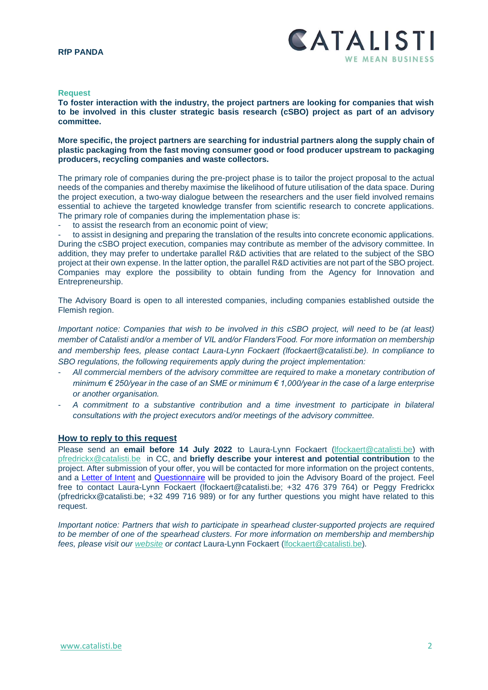#### **Request**

**To foster interaction with the industry, the project partners are looking for companies that wish to be involved in this cluster strategic basis research (cSBO) project as part of an advisory committee.**

**More specific, the project partners are searching for industrial partners along the supply chain of plastic packaging from the fast moving consumer good or food producer upstream to packaging producers, recycling companies and waste collectors.** 

The primary role of companies during the pre-project phase is to tailor the project proposal to the actual needs of the companies and thereby maximise the likelihood of future utilisation of the data space. During the project execution, a two-way dialogue between the researchers and the user field involved remains essential to achieve the targeted knowledge transfer from scientific research to concrete applications. The primary role of companies during the implementation phase is:

to assist the research from an economic point of view;

to assist in designing and preparing the translation of the results into concrete economic applications. During the cSBO project execution, companies may contribute as member of the advisory committee. In addition, they may prefer to undertake parallel R&D activities that are related to the subject of the SBO project at their own expense. In the latter option, the parallel R&D activities are not part of the SBO project. Companies may explore the possibility to obtain funding from the Agency for Innovation and Entrepreneurship.

The Advisory Board is open to all interested companies, including companies established outside the Flemish region.

*Important notice: Companies that wish to be involved in this cSBO project, will need to be (at least) member of Catalisti and/or a member of VIL and/or Flanders'Food. For more information on membership and membership fees, please contact Laura-Lynn Fockaert [\(lfockaert@catalisti.be\)](mailto:adeneyer@catalisti.be). In compliance to SBO regulations, the following requirements apply during the project implementation:*

- *All commercial members of the advisory committee are required to make a monetary contribution of minimum € 250/year in the case of an SME or minimum € 1,000/year in the case of a large enterprise or another organisation.*
- *A commitment to a substantive contribution and a time investment to participate in bilateral consultations with the project executors and/or meetings of the advisory committee.*

## **How to reply to this request**

Please send an **email before 14 July 2022** to Laura-Lynn Fockaert (lfockaert@catalisti.be) with [pfredrickx@catalisti.be](mailto:pfredrickx@catalisti.be) in CC, and **briefly describe your interest and potential contribution** to the project. After submission of your offer, you will be contacted for more information on the project contents, and a [Letter of Intent](https://catalisti.be/wp-content/uploads/2020/08/PANDA_Letter-of-Intent.docx) and [Questionnaire](https://catalisti.be/wp-content/uploads/2020/08/PANDA_Questionnaire_Valorisation.docx) will be provided to join the Advisory Board of the project. Feel free to contact Laura-Lynn Fockaert (lfockaert@catalisti.be; +32 476 379 764) or Peggy Fredrickx (pfredrickx@catalisti.be; +32 499 716 989) or for any further questions you might have related to this request.

*Important notice: Partners that wish to participate in spearhead cluster-supported projects are required* to be member of one of the spearhead clusters. For more information on membership and membership *fees, please visit our [website](https://catalisti.be/membership-2/) or contact* Laura-Lynn Fockaert (lfockaert@catalisti.be)*.*